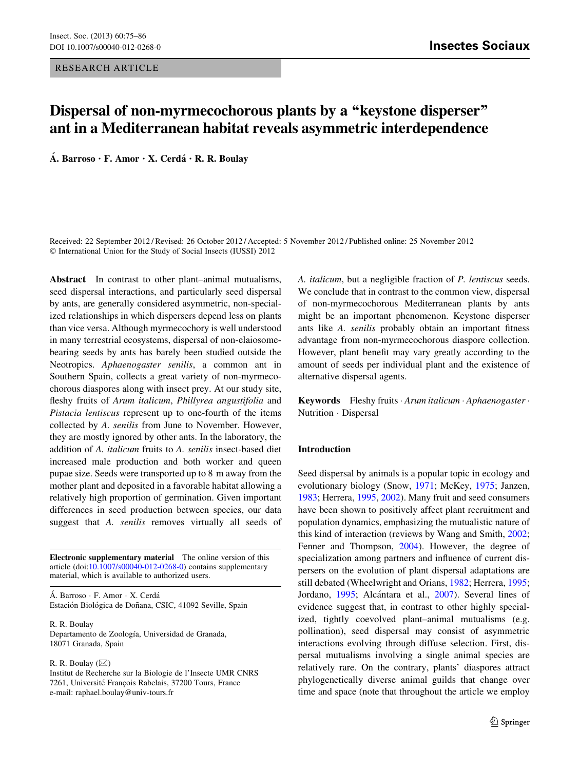RESEARCH ARTICLE

# Dispersal of non-myrmecochorous plants by a "keystone disperser" ant in a Mediterranean habitat reveals asymmetric interdependence

Á. Barroso • F. Amor • X. Cerdá • R. R. Boulay

Received: 22 September 2012 / Revised: 26 October 2012 / Accepted: 5 November 2012 / Published online: 25 November 2012 © International Union for the Study of Social Insects (IUSSI) 2012

Abstract In contrast to other plant–animal mutualisms, seed dispersal interactions, and particularly seed dispersal by ants, are generally considered asymmetric, non-specialized relationships in which dispersers depend less on plants than vice versa. Although myrmecochory is well understood in many terrestrial ecosystems, dispersal of non-elaiosomebearing seeds by ants has barely been studied outside the Neotropics. Aphaenogaster senilis, a common ant in Southern Spain, collects a great variety of non-myrmecochorous diaspores along with insect prey. At our study site, fleshy fruits of Arum italicum, Phillyrea angustifolia and Pistacia lentiscus represent up to one-fourth of the items collected by A. senilis from June to November. However, they are mostly ignored by other ants. In the laboratory, the addition of A. italicum fruits to A. senilis insect-based diet increased male production and both worker and queen pupae size. Seeds were transported up to 8 m away from the mother plant and deposited in a favorable habitat allowing a relatively high proportion of germination. Given important differences in seed production between species, our data suggest that A. senilis removes virtually all seeds of

Electronic supplementary material The online version of this article (doi[:10.1007/s00040-012-0268-0](http://dx.doi.org/10.1007/s00040-012-0268-0)) contains supplementary material, which is available to authorized users.

Á. Barroso · F. Amor · X. Cerdá Estación Biológica de Doñana, CSIC, 41092 Seville, Spain

R. R. Boulay Departamento de Zoología, Universidad de Granada, 18071 Granada, Spain

R. R. Boulay  $(\boxtimes)$ 

Institut de Recherche sur la Biologie de l'Insecte UMR CNRS 7261, Université François Rabelais, 37200 Tours, France e-mail: raphael.boulay@univ-tours.fr

A. italicum, but a negligible fraction of P. lentiscus seeds. We conclude that in contrast to the common view, dispersal of non-myrmecochorous Mediterranean plants by ants might be an important phenomenon. Keystone disperser ants like A. senilis probably obtain an important fitness advantage from non-myrmecochorous diaspore collection. However, plant benefit may vary greatly according to the amount of seeds per individual plant and the existence of alternative dispersal agents.

Keywords Fleshy fruits · Arum italicum · Aphaenogaster · Nutrition - Dispersal

### Introduction

Seed dispersal by animals is a popular topic in ecology and evolutionary biology (Snow, [1971](#page-11-0); McKey, [1975](#page-11-0); Janzen, [1983](#page-10-0); Herrera, [1995,](#page-10-0) [2002](#page-10-0)). Many fruit and seed consumers have been shown to positively affect plant recruitment and population dynamics, emphasizing the mutualistic nature of this kind of interaction (reviews by Wang and Smith, [2002](#page-11-0); Fenner and Thompson, [2004](#page-10-0)). However, the degree of specialization among partners and influence of current dispersers on the evolution of plant dispersal adaptations are still debated (Wheelwright and Orians, [1982;](#page-11-0) Herrera, [1995](#page-10-0); Jordano, [1995](#page-10-0); Alcántara et al., [2007](#page-9-0)). Several lines of evidence suggest that, in contrast to other highly specialized, tightly coevolved plant–animal mutualisms (e.g. pollination), seed dispersal may consist of asymmetric interactions evolving through diffuse selection. First, dispersal mutualisms involving a single animal species are relatively rare. On the contrary, plants' diaspores attract phylogenetically diverse animal guilds that change over time and space (note that throughout the article we employ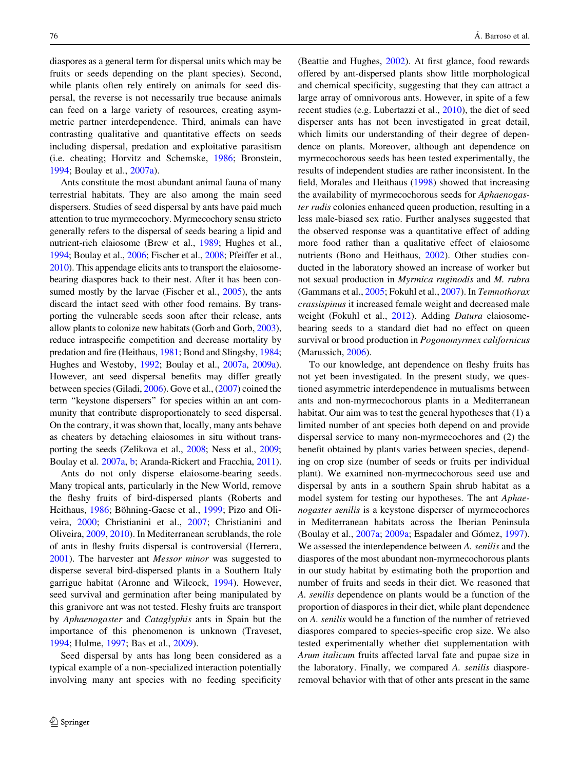diaspores as a general term for dispersal units which may be fruits or seeds depending on the plant species). Second, while plants often rely entirely on animals for seed dispersal, the reverse is not necessarily true because animals can feed on a large variety of resources, creating asymmetric partner interdependence. Third, animals can have contrasting qualitative and quantitative effects on seeds including dispersal, predation and exploitative parasitism (i.e. cheating; Horvitz and Schemske, [1986](#page-10-0); Bronstein, [1994;](#page-10-0) Boulay et al., [2007a](#page-10-0)).

Ants constitute the most abundant animal fauna of many terrestrial habitats. They are also among the main seed dispersers. Studies of seed dispersal by ants have paid much attention to true myrmecochory. Myrmecochory sensu stricto generally refers to the dispersal of seeds bearing a lipid and nutrient-rich elaiosome (Brew et al., [1989](#page-10-0); Hughes et al., [1994;](#page-10-0) Boulay et al., [2006](#page-10-0); Fischer et al., [2008](#page-10-0); Pfeiffer et al., [2010\)](#page-11-0). This appendage elicits ants to transport the elaiosomebearing diaspores back to their nest. After it has been con-sumed mostly by the larvae (Fischer et al., [2005](#page-10-0)), the ants discard the intact seed with other food remains. By transporting the vulnerable seeds soon after their release, ants allow plants to colonize new habitats (Gorb and Gorb, [2003](#page-10-0)), reduce intraspecific competition and decrease mortality by predation and fire (Heithaus, [1981;](#page-10-0) Bond and Slingsby, [1984](#page-9-0); Hughes and Westoby, [1992;](#page-10-0) Boulay et al., [2007a](#page-10-0), [2009a](#page-10-0)). However, ant seed dispersal benefits may differ greatly between species (Giladi, [2006](#page-10-0)). Gove et al., [\(2007\)](#page-10-0) coined the term ''keystone dispersers'' for species within an ant community that contribute disproportionately to seed dispersal. On the contrary, it was shown that, locally, many ants behave as cheaters by detaching elaiosomes in situ without transporting the seeds (Zelikova et al., [2008](#page-11-0); Ness et al., [2009](#page-11-0); Boulay et al. [2007a](#page-10-0), [b;](#page-10-0) Aranda-Rickert and Fracchia, [2011](#page-9-0)).

Ants do not only disperse elaiosome-bearing seeds. Many tropical ants, particularly in the New World, remove the fleshy fruits of bird-dispersed plants (Roberts and Heithaus, [1986](#page-11-0); Böhning-Gaese et al., [1999;](#page-9-0) Pizo and Oliveira, [2000](#page-11-0); Christianini et al., [2007;](#page-10-0) Christianini and Oliveira, [2009](#page-10-0), [2010\)](#page-10-0). In Mediterranean scrublands, the role of ants in fleshy fruits dispersal is controversial (Herrera, [2001\)](#page-10-0). The harvester ant Messor minor was suggested to disperse several bird-dispersed plants in a Southern Italy garrigue habitat (Aronne and Wilcock, [1994\)](#page-9-0). However, seed survival and germination after being manipulated by this granivore ant was not tested. Fleshy fruits are transport by Aphaenogaster and Cataglyphis ants in Spain but the importance of this phenomenon is unknown (Traveset, [1994;](#page-11-0) Hulme, [1997](#page-10-0); Bas et al., [2009](#page-9-0)).

Seed dispersal by ants has long been considered as a typical example of a non-specialized interaction potentially involving many ant species with no feeding specificity (Beattie and Hughes, [2002](#page-9-0)). At first glance, food rewards offered by ant-dispersed plants show little morphological and chemical specificity, suggesting that they can attract a large array of omnivorous ants. However, in spite of a few recent studies (e.g. Lubertazzi et al., [2010](#page-10-0)), the diet of seed disperser ants has not been investigated in great detail, which limits our understanding of their degree of dependence on plants. Moreover, although ant dependence on myrmecochorous seeds has been tested experimentally, the results of independent studies are rather inconsistent. In the field, Morales and Heithaus ([1998\)](#page-11-0) showed that increasing the availability of myrmecochorous seeds for Aphaenogaster rudis colonies enhanced queen production, resulting in a less male-biased sex ratio. Further analyses suggested that the observed response was a quantitative effect of adding more food rather than a qualitative effect of elaiosome nutrients (Bono and Heithaus, [2002\)](#page-9-0). Other studies conducted in the laboratory showed an increase of worker but not sexual production in Myrmica ruginodis and M. rubra (Gammans et al., [2005](#page-10-0); Fokuhl et al., [2007](#page-10-0)). In Temnothorax crassispinus it increased female weight and decreased male weight (Fokuhl et al., [2012](#page-10-0)). Adding *Datura* elaiosomebearing seeds to a standard diet had no effect on queen survival or brood production in Pogonomyrmex californicus (Marussich, [2006](#page-11-0)).

To our knowledge, ant dependence on fleshy fruits has not yet been investigated. In the present study, we questioned asymmetric interdependence in mutualisms between ants and non-myrmecochorous plants in a Mediterranean habitat. Our aim was to test the general hypotheses that (1) a limited number of ant species both depend on and provide dispersal service to many non-myrmecochores and (2) the benefit obtained by plants varies between species, depending on crop size (number of seeds or fruits per individual plant). We examined non-myrmecochorous seed use and dispersal by ants in a southern Spain shrub habitat as a model system for testing our hypotheses. The ant Aphaenogaster senilis is a keystone disperser of myrmecochores in Mediterranean habitats across the Iberian Peninsula (Boulay et al., [2007a](#page-10-0); [2009a;](#page-10-0) Espadaler and Gómez, [1997](#page-10-0)). We assessed the interdependence between A. senilis and the diaspores of the most abundant non-myrmecochorous plants in our study habitat by estimating both the proportion and number of fruits and seeds in their diet. We reasoned that A. senilis dependence on plants would be a function of the proportion of diaspores in their diet, while plant dependence on A. senilis would be a function of the number of retrieved diaspores compared to species-specific crop size. We also tested experimentally whether diet supplementation with Arum italicum fruits affected larval fate and pupae size in the laboratory. Finally, we compared A. senilis diasporeremoval behavior with that of other ants present in the same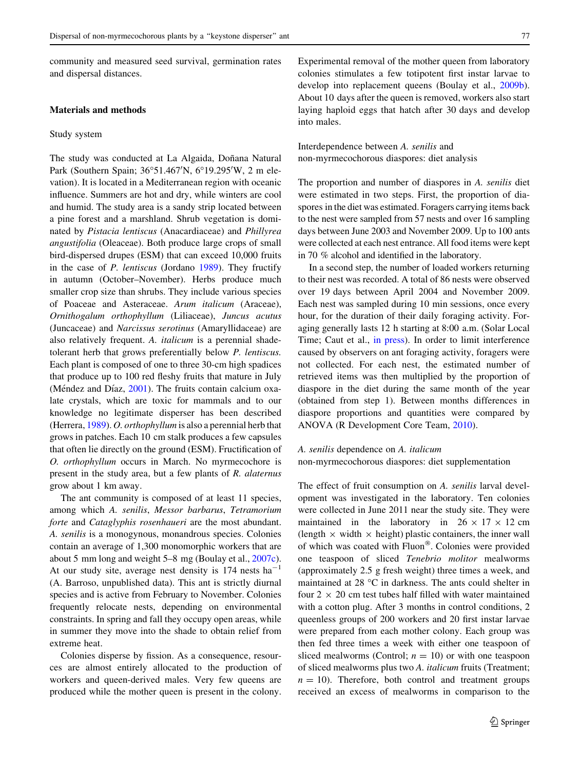community and measured seed survival, germination rates and dispersal distances.

# Materials and methods

#### Study system

The study was conducted at La Algaida, Doñana Natural Park (Southern Spain; 36°51.467'N, 6°19.295'W, 2 m elevation). It is located in a Mediterranean region with oceanic influence. Summers are hot and dry, while winters are cool and humid. The study area is a sandy strip located between a pine forest and a marshland. Shrub vegetation is dominated by Pistacia lentiscus (Anacardiaceae) and Phillyrea angustifolia (Oleaceae). Both produce large crops of small bird-dispersed drupes (ESM) that can exceed 10,000 fruits in the case of P. lentiscus (Jordano [1989](#page-10-0)). They fructify in autumn (October–November). Herbs produce much smaller crop size than shrubs. They include various species of Poaceae and Asteraceae. Arum italicum (Araceae), Ornithogalum orthophyllum (Liliaceae), Juncus acutus (Juncaceae) and Narcissus serotinus (Amaryllidaceae) are also relatively frequent. A. italicum is a perennial shadetolerant herb that grows preferentially below P. lentiscus. Each plant is composed of one to three 30-cm high spadices that produce up to 100 red fleshy fruits that mature in July (Méndez and Díaz,  $2001$ ). The fruits contain calcium oxalate crystals, which are toxic for mammals and to our knowledge no legitimate disperser has been described (Herrera, [1989](#page-10-0)). O. orthophyllum is also a perennial herb that grows in patches. Each 10 cm stalk produces a few capsules that often lie directly on the ground (ESM). Fructification of O. orthophyllum occurs in March. No myrmecochore is present in the study area, but a few plants of R. alaternus grow about 1 km away.

The ant community is composed of at least 11 species, among which A. senilis, Messor barbarus, Tetramorium forte and Cataglyphis rosenhaueri are the most abundant. A. senilis is a monogynous, monandrous species. Colonies contain an average of 1,300 monomorphic workers that are about 5 mm long and weight 5–8 mg (Boulay et al., [2007c](#page-10-0)). At our study site, average nest density is  $174$  nests ha<sup>-1</sup> (A. Barroso, unpublished data). This ant is strictly diurnal species and is active from February to November. Colonies frequently relocate nests, depending on environmental constraints. In spring and fall they occupy open areas, while in summer they move into the shade to obtain relief from extreme heat.

Colonies disperse by fission. As a consequence, resources are almost entirely allocated to the production of workers and queen-derived males. Very few queens are produced while the mother queen is present in the colony. Experimental removal of the mother queen from laboratory colonies stimulates a few totipotent first instar larvae to develop into replacement queens (Boulay et al., [2009b](#page-10-0)). About 10 days after the queen is removed, workers also start laying haploid eggs that hatch after 30 days and develop into males.

Interdependence between A. senilis and non-myrmecochorous diaspores: diet analysis

The proportion and number of diaspores in A. senilis diet were estimated in two steps. First, the proportion of diaspores in the diet was estimated. Foragers carrying items back to the nest were sampled from 57 nests and over 16 sampling days between June 2003 and November 2009. Up to 100 ants were collected at each nest entrance. All food items were kept in 70 % alcohol and identified in the laboratory.

In a second step, the number of loaded workers returning to their nest was recorded. A total of 86 nests were observed over 19 days between April 2004 and November 2009. Each nest was sampled during 10 min sessions, once every hour, for the duration of their daily foraging activity. Foraging generally lasts 12 h starting at 8:00 a.m. (Solar Local Time; Caut et al., [in press\)](#page-10-0). In order to limit interference caused by observers on ant foraging activity, foragers were not collected. For each nest, the estimated number of retrieved items was then multiplied by the proportion of diaspore in the diet during the same month of the year (obtained from step 1). Between months differences in diaspore proportions and quantities were compared by ANOVA (R Development Core Team, [2010](#page-11-0)).

A. senilis dependence on A. italicum non-myrmecochorous diaspores: diet supplementation

The effect of fruit consumption on A. senilis larval development was investigated in the laboratory. Ten colonies were collected in June 2011 near the study site. They were maintained in the laboratory in  $26 \times 17 \times 12$  cm (length  $\times$  width  $\times$  height) plastic containers, the inner wall of which was coated with  $Fluon^{\circledR}$ . Colonies were provided one teaspoon of sliced Tenebrio molitor mealworms (approximately 2.5 g fresh weight) three times a week, and maintained at  $28 \text{ °C}$  in darkness. The ants could shelter in four  $2 \times 20$  cm test tubes half filled with water maintained with a cotton plug. After 3 months in control conditions, 2 queenless groups of 200 workers and 20 first instar larvae were prepared from each mother colony. Each group was then fed three times a week with either one teaspoon of sliced mealworms (Control;  $n = 10$ ) or with one teaspoon of sliced mealworms plus two A. italicum fruits (Treatment;  $n = 10$ ). Therefore, both control and treatment groups received an excess of mealworms in comparison to the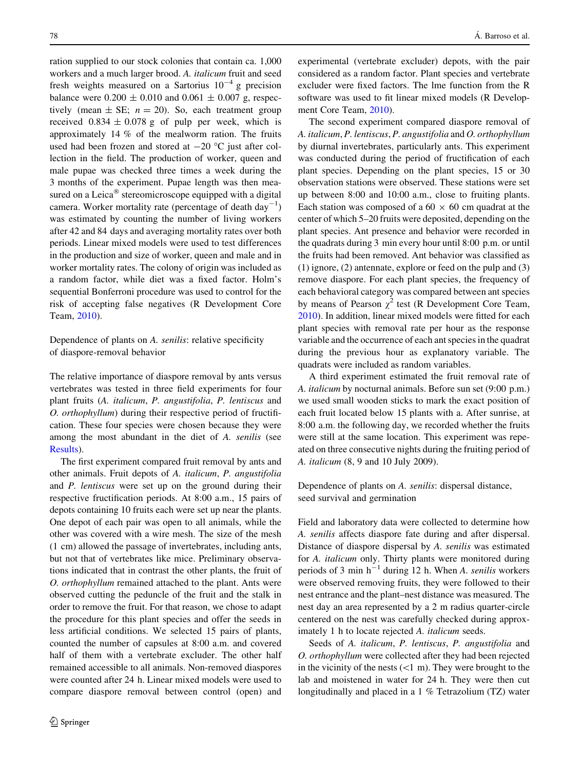ration supplied to our stock colonies that contain ca. 1,000 workers and a much larger brood. A. italicum fruit and seed fresh weights measured on a Sartorius  $10^{-4}$  g precision balance were  $0.200 \pm 0.010$  and  $0.061 \pm 0.007$  g, respectively (mean  $\pm$  SE;  $n = 20$ ). So, each treatment group received  $0.834 \pm 0.078$  g of pulp per week, which is approximately 14 % of the mealworm ration. The fruits used had been frozen and stored at  $-20$  °C just after collection in the field. The production of worker, queen and male pupae was checked three times a week during the 3 months of the experiment. Pupae length was then measured on a Leica<sup> $\circledast$ </sup> stereomicroscope equipped with a digital camera. Worker mortality rate (percentage of death day<sup>-1</sup>) was estimated by counting the number of living workers after 42 and 84 days and averaging mortality rates over both periods. Linear mixed models were used to test differences in the production and size of worker, queen and male and in worker mortality rates. The colony of origin was included as a random factor, while diet was a fixed factor. Holm's sequential Bonferroni procedure was used to control for the risk of accepting false negatives (R Development Core Team, [2010](#page-11-0)).

Dependence of plants on A. senilis: relative specificity of diaspore-removal behavior

The relative importance of diaspore removal by ants versus vertebrates was tested in three field experiments for four plant fruits (A. italicum, P. angustifolia, P. lentiscus and O. orthophyllum) during their respective period of fructification. These four species were chosen because they were among the most abundant in the diet of A. senilis (see [Results](#page-4-0)).

The first experiment compared fruit removal by ants and other animals. Fruit depots of A. italicum, P. angustifolia and P. lentiscus were set up on the ground during their respective fructification periods. At 8:00 a.m., 15 pairs of depots containing 10 fruits each were set up near the plants. One depot of each pair was open to all animals, while the other was covered with a wire mesh. The size of the mesh (1 cm) allowed the passage of invertebrates, including ants, but not that of vertebrates like mice. Preliminary observations indicated that in contrast the other plants, the fruit of O. orthophyllum remained attached to the plant. Ants were observed cutting the peduncle of the fruit and the stalk in order to remove the fruit. For that reason, we chose to adapt the procedure for this plant species and offer the seeds in less artificial conditions. We selected 15 pairs of plants, counted the number of capsules at 8:00 a.m. and covered half of them with a vertebrate excluder. The other half remained accessible to all animals. Non-removed diaspores were counted after 24 h. Linear mixed models were used to compare diaspore removal between control (open) and experimental (vertebrate excluder) depots, with the pair considered as a random factor. Plant species and vertebrate excluder were fixed factors. The lme function from the R software was used to fit linear mixed models (R Development Core Team, [2010\)](#page-11-0).

The second experiment compared diaspore removal of A. italicum, P. lentiscus, P. angustifolia and O. orthophyllum by diurnal invertebrates, particularly ants. This experiment was conducted during the period of fructification of each plant species. Depending on the plant species, 15 or 30 observation stations were observed. These stations were set up between 8:00 and 10:00 a.m., close to fruiting plants. Each station was composed of a  $60 \times 60$  cm quadrat at the center of which 5–20 fruits were deposited, depending on the plant species. Ant presence and behavior were recorded in the quadrats during 3 min every hour until 8:00 p.m. or until the fruits had been removed. Ant behavior was classified as (1) ignore, (2) antennate, explore or feed on the pulp and (3) remove diaspore. For each plant species, the frequency of each behavioral category was compared between ant species by means of Pearson  $\chi^2$  test (R Development Core Team, [2010](#page-11-0)). In addition, linear mixed models were fitted for each plant species with removal rate per hour as the response variable and the occurrence of each ant species in the quadrat during the previous hour as explanatory variable. The quadrats were included as random variables.

A third experiment estimated the fruit removal rate of A. italicum by nocturnal animals. Before sun set (9:00 p.m.) we used small wooden sticks to mark the exact position of each fruit located below 15 plants with a. After sunrise, at 8:00 a.m. the following day, we recorded whether the fruits were still at the same location. This experiment was repeated on three consecutive nights during the fruiting period of A. italicum (8, 9 and 10 July 2009).

Dependence of plants on A. senilis: dispersal distance, seed survival and germination

Field and laboratory data were collected to determine how A. senilis affects diaspore fate during and after dispersal. Distance of diaspore dispersal by A. senilis was estimated for A. italicum only. Thirty plants were monitored during periods of 3 min  $h^{-1}$  during 12 h. When A. senilis workers were observed removing fruits, they were followed to their nest entrance and the plant–nest distance was measured. The nest day an area represented by a 2 m radius quarter-circle centered on the nest was carefully checked during approximately 1 h to locate rejected A. italicum seeds.

Seeds of A. italicum, P. lentiscus, P. angustifolia and O. orthophyllum were collected after they had been rejected in the vicinity of the nests  $(\leq 1 \text{ m})$ . They were brought to the lab and moistened in water for 24 h. They were then cut longitudinally and placed in a 1 % Tetrazolium (TZ) water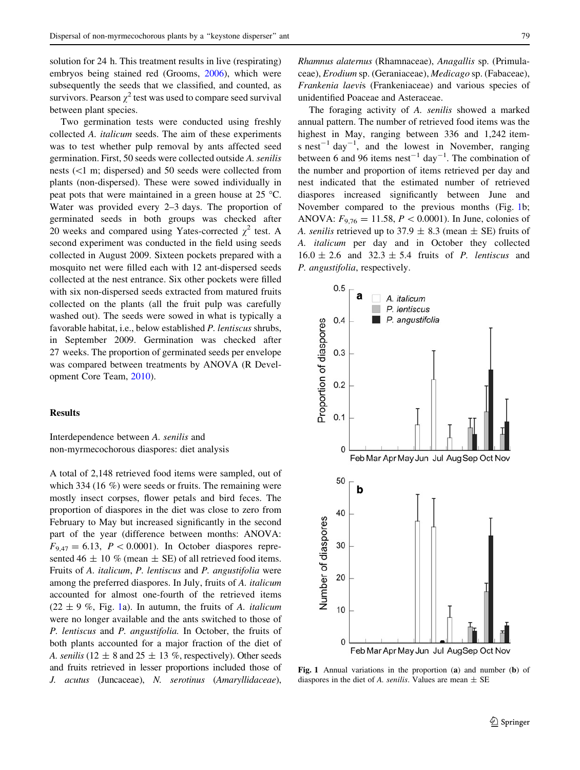<span id="page-4-0"></span>solution for 24 h. This treatment results in live (respirating) embryos being stained red (Grooms, [2006](#page-10-0)), which were subsequently the seeds that we classified, and counted, as survivors. Pearson  $\chi^2$  test was used to compare seed survival between plant species.

Two germination tests were conducted using freshly collected A. italicum seeds. The aim of these experiments was to test whether pulp removal by ants affected seed germination. First, 50 seeds were collected outside A. senilis nests (\1 m; dispersed) and 50 seeds were collected from plants (non-dispersed). These were sowed individually in peat pots that were maintained in a green house at  $25^{\circ}$ C. Water was provided every 2–3 days. The proportion of germinated seeds in both groups was checked after 20 weeks and compared using Yates-corrected  $\chi^2$  test. A second experiment was conducted in the field using seeds collected in August 2009. Sixteen pockets prepared with a mosquito net were filled each with 12 ant-dispersed seeds collected at the nest entrance. Six other pockets were filled with six non-dispersed seeds extracted from matured fruits collected on the plants (all the fruit pulp was carefully washed out). The seeds were sowed in what is typically a favorable habitat, i.e., below established P. lentiscus shrubs, in September 2009. Germination was checked after 27 weeks. The proportion of germinated seeds per envelope was compared between treatments by ANOVA (R Development Core Team, [2010\)](#page-11-0).

# Results

Interdependence between A. senilis and non-myrmecochorous diaspores: diet analysis

A total of 2,148 retrieved food items were sampled, out of which 334 (16 %) were seeds or fruits. The remaining were mostly insect corpses, flower petals and bird feces. The proportion of diaspores in the diet was close to zero from February to May but increased significantly in the second part of the year (difference between months: ANOVA:  $F_{9,47} = 6.13$ ,  $P < 0.0001$ ). In October diaspores represented 46  $\pm$  10 % (mean  $\pm$  SE) of all retrieved food items. Fruits of A. italicum, P. lentiscus and P. angustifolia were among the preferred diaspores. In July, fruits of A. italicum accounted for almost one-fourth of the retrieved items  $(22 \pm 9 \%)$ , Fig. 1a). In autumn, the fruits of A. *italicum* were no longer available and the ants switched to those of P. lentiscus and P. angustifolia. In October, the fruits of both plants accounted for a major fraction of the diet of A. senilis (12  $\pm$  8 and 25  $\pm$  13 %, respectively). Other seeds and fruits retrieved in lesser proportions included those of J. acutus (Juncaceae), N. serotinus (Amaryllidaceae), Rhamnus alaternus (Rhamnaceae), Anagallis sp. (Primulaceae), Erodium sp. (Geraniaceae), Medicago sp. (Fabaceae), Frankenia laevis (Frankeniaceae) and various species of unidentified Poaceae and Asteraceae.

The foraging activity of A. senilis showed a marked annual pattern. The number of retrieved food items was the highest in May, ranging between 336 and 1,242 items nest<sup>-1</sup> day<sup>-1</sup>, and the lowest in November, ranging between 6 and 96 items nest<sup>-1</sup> day<sup>-1</sup>. The combination of the number and proportion of items retrieved per day and nest indicated that the estimated number of retrieved diaspores increased significantly between June and November compared to the previous months (Fig. 1b; ANOVA:  $F_{9,76} = 11.58, P < 0.0001$ . In June, colonies of A. senilis retrieved up to 37.9  $\pm$  8.3 (mean  $\pm$  SE) fruits of A. italicum per day and in October they collected  $16.0 \pm 2.6$  and  $32.3 \pm 5.4$  fruits of *P. lentiscus* and P. angustifolia, respectively.



Fig. 1 Annual variations in the proportion (a) and number (b) of diaspores in the diet of A. senilis. Values are mean  $\pm$  SE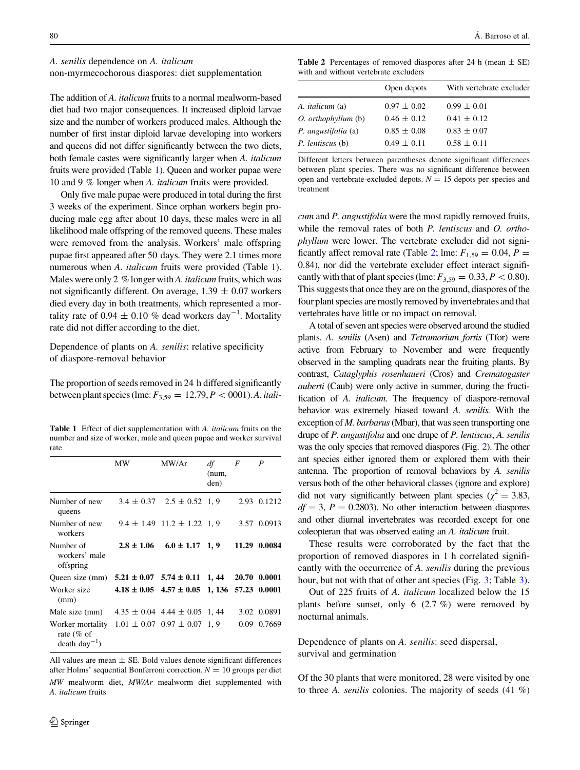### A. senilis dependence on A. italicum

non-myrmecochorous diaspores: diet supplementation

The addition of A. italicum fruits to a normal mealworm-based diet had two major consequences. It increased diploid larvae size and the number of workers produced males. Although the number of first instar diploid larvae developing into workers and queens did not differ significantly between the two diets, both female castes were significantly larger when A. italicum fruits were provided (Table 1). Queen and worker pupae were 10 and 9 % longer when A. italicum fruits were provided.

Only five male pupae were produced in total during the first 3 weeks of the experiment. Since orphan workers begin producing male egg after about 10 days, these males were in all likelihood male offspring of the removed queens. These males were removed from the analysis. Workers' male offspring pupae first appeared after 50 days. They were 2.1 times more numerous when A. *italicum* fruits were provided (Table 1). Males were only 2 % longer with A. *italicum* fruits, which was not significantly different. On average,  $1.39 \pm 0.07$  workers died every day in both treatments, which represented a mortality rate of 0.94  $\pm$  0.10 % dead workers day<sup>-1</sup>. Mortality rate did not differ according to the diet.

Dependence of plants on A. senilis: relative specificity of diaspore-removal behavior

The proportion of seeds removed in 24 h differed significantly between plant species (lme:  $F_{3,59} = 12.79, P < 0001$ ). A. itali-

Table 1 Effect of diet supplementation with A. *italicum* fruits on the number and size of worker, male and queen pupae and worker survival rate

|                                                                                                 | MW | MW/Ar                                               | df<br>(num,<br>den) | F | P            |
|-------------------------------------------------------------------------------------------------|----|-----------------------------------------------------|---------------------|---|--------------|
| Number of new<br>queens                                                                         |    | $3.4 \pm 0.37$ $2.5 \pm 0.52$ 1, 9                  |                     |   | 2.93 0.1212  |
| Number of new<br>workers                                                                        |    | $9.4 \pm 1.49$ $11.2 \pm 1.22$ 1, 9                 |                     |   | 3.57 0.0913  |
| Number of<br>workers' male<br>offspring                                                         |    | $2.8 \pm 1.06$ $6.0 \pm 1.17$ 1, 9                  |                     |   | 11.29 0.0084 |
| Oueen size (mm) $5.21 \pm 0.07$ $5.74 \pm 0.11$ 1, 44 20.70 0.0001                              |    |                                                     |                     |   |              |
| Worker size<br>(mm)                                                                             |    | $4.18 \pm 0.05$ $4.57 \pm 0.05$ 1, 136 57.23 0.0001 |                     |   |              |
| Male size (mm)                                                                                  |    | $4.35 \pm 0.04$ 4.44 $\pm$ 0.05 1, 44               |                     |   | 3.02 0.0891  |
| Worker mortality $1.01 \pm 0.07$ 0.97 $\pm$ 0.07 1, 9<br>rate $(\%$ of<br>$death \, day^{-1}$ ) |    |                                                     |                     |   | 0.09 0.7669  |

All values are mean  $\pm$  SE. Bold values denote significant differences after Holms' sequential Bonferroni correction.  $N = 10$  groups per diet MW mealworm diet, MW/Ar mealworm diet supplemented with A. italicum fruits

**Table 2** Percentages of removed diaspores after 24 h (mean  $\pm$  SE) with and without vertebrate excluders

|                        | Open depots     | With vertebrate excluder |
|------------------------|-----------------|--------------------------|
| A. <i>italicum</i> (a) | $0.97 \pm 0.02$ | $0.99 \pm 0.01$          |
| O. orthophyllum (b)    | $0.46 \pm 0.12$ | $0.41 \pm 0.12$          |
| P. angustifolia (a)    | $0.85 \pm 0.08$ | $0.83 \pm 0.07$          |
| P. lentiscus (b)       | $0.49 \pm 0.11$ | $0.58 \pm 0.11$          |

Different letters between parentheses denote significant differences between plant species. There was no significant difference between open and vertebrate-excluded depots.  $N = 15$  depots per species and treatment

cum and P. angustifolia were the most rapidly removed fruits, while the removal rates of both P. lentiscus and O. orthophyllum were lower. The vertebrate excluder did not significantly affect removal rate (Table 2; lme:  $F_{1,59} = 0.04$ ,  $P =$ 0.84), nor did the vertebrate excluder effect interact significantly with that of plant species (lme:  $F_{3,59} = 0.33, P < 0.80$ ). This suggests that once they are on the ground, diaspores of the four plant species are mostly removed by invertebrates and that vertebrates have little or no impact on removal.

A total of seven ant species were observed around the studied plants. A. senilis (Asen) and Tetramorium fortis (Tfor) were active from February to November and were frequently observed in the sampling quadrats near the fruiting plants. By contrast, Cataglyphis rosenhaueri (Cros) and Crematogaster auberti (Caub) were only active in summer, during the fructification of A. italicum. The frequency of diaspore-removal behavior was extremely biased toward A. senilis. With the exception of *M. barbarus* (Mbar), that was seen transporting one drupe of P. angustifolia and one drupe of P. lentiscus, A. senilis was the only species that removed diaspores (Fig. [2](#page-6-0)). The other ant species either ignored them or explored them with their antenna. The proportion of removal behaviors by A. senilis versus both of the other behavioral classes (ignore and explore) did not vary significantly between plant species ( $\chi^2 = 3.83$ ,  $df = 3$ ,  $P = 0.2803$ . No other interaction between diaspores and other diurnal invertebrates was recorded except for one coleopteran that was observed eating an A. italicum fruit.

These results were corroborated by the fact that the proportion of removed diaspores in 1 h correlated significantly with the occurrence of A. senilis during the previous hour, but not with that of other ant species (Fig. [3](#page-7-0); Table 3).

Out of 225 fruits of A. italicum localized below the 15 plants before sunset, only 6 (2.7 %) were removed by nocturnal animals.

Dependence of plants on A. senilis: seed dispersal, survival and germination

Of the 30 plants that were monitored, 28 were visited by one to three A. senilis colonies. The majority of seeds (41 %)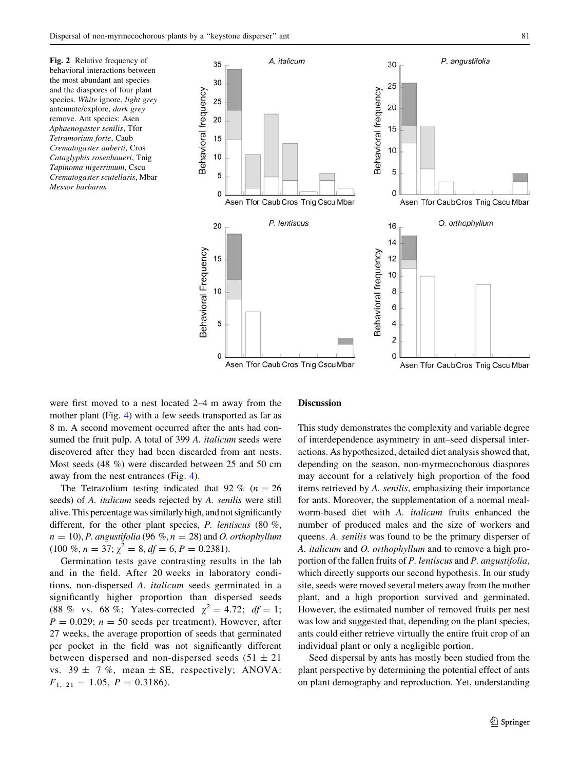<span id="page-6-0"></span>Fig. 2 Relative frequency of behavioral interactions between the most abundant ant species and the diaspores of four plant species. White ignore, light grey antennate/explore, dark grey remove. Ant species: Asen Aphaenogaster senilis, Tfor Tetramorium forte, Caub Crematogaster auberti, Cros Cataglyphis rosenhaueri, Tnig Tapinoma nigerrimum, Cscu Crematogaster scutellaris, Mbar Messor barbarus



were first moved to a nest located 2–4 m away from the mother plant (Fig. [4](#page-8-0)) with a few seeds transported as far as 8 m. A second movement occurred after the ants had consumed the fruit pulp. A total of 399 A. italicum seeds were discovered after they had been discarded from ant nests. Most seeds (48 %) were discarded between 25 and 50 cm away from the nest entrances (Fig. [4\)](#page-8-0).

The Tetrazolium testing indicated that 92 % ( $n = 26$ ) seeds) of A. italicum seeds rejected by A. senilis were still alive. This percentage was similarly high, and not significantly different, for the other plant species, P. lentiscus (80 %,  $n = 10$ ), P. angustifolia (96 %,  $n = 28$ ) and O. orthophyllum  $(100 \%, n = 37; \chi^2 = 8, df = 6, P = 0.2381).$ 

Germination tests gave contrasting results in the lab and in the field. After 20 weeks in laboratory conditions, non-dispersed A. italicum seeds germinated in a significantly higher proportion than dispersed seeds (88 % vs. 68 %; Yates-corrected  $\chi^2 = 4.72$ ;  $df = 1$ ;  $P = 0.029$ ;  $n = 50$  seeds per treatment). However, after 27 weeks, the average proportion of seeds that germinated per pocket in the field was not significantly different between dispersed and non-dispersed seeds  $(51 \pm 21)$ vs.  $39 \pm 7$  %, mean  $\pm$  SE, respectively; ANOVA:  $F_{1, 21} = 1.05, P = 0.3186.$ 

#### Discussion

This study demonstrates the complexity and variable degree of interdependence asymmetry in ant–seed dispersal interactions. As hypothesized, detailed diet analysis showed that, depending on the season, non-myrmecochorous diaspores may account for a relatively high proportion of the food items retrieved by A. senilis, emphasizing their importance for ants. Moreover, the supplementation of a normal mealworm-based diet with A. italicum fruits enhanced the number of produced males and the size of workers and queens. A. senilis was found to be the primary disperser of A. italicum and O. orthophyllum and to remove a high proportion of the fallen fruits of P. lentiscus and P. angustifolia, which directly supports our second hypothesis. In our study site, seeds were moved several meters away from the mother plant, and a high proportion survived and germinated. However, the estimated number of removed fruits per nest was low and suggested that, depending on the plant species, ants could either retrieve virtually the entire fruit crop of an individual plant or only a negligible portion.

Seed dispersal by ants has mostly been studied from the plant perspective by determining the potential effect of ants on plant demography and reproduction. Yet, understanding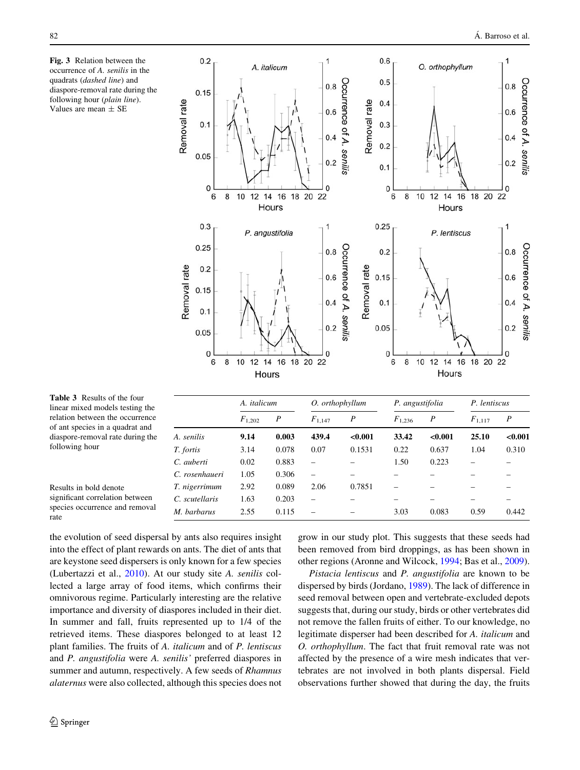<span id="page-7-0"></span>



M. barbarus 2.55 0.115 – – 3.03 0.083 0.59 0.442

Table 3 Results of the four linear mixed models testing the relation between the occurrence of ant species in a quadrat and diaspore-removal rate during the following hour

| Results in bold denote          |
|---------------------------------|
| significant correlation between |
| species occurrence and removal  |
| rate                            |

the evolution of seed dispersal by ants also requires insight into the effect of plant rewards on ants. The diet of ants that are keystone seed dispersers is only known for a few species (Lubertazzi et al., [2010](#page-10-0)). At our study site A. senilis collected a large array of food items, which confirms their omnivorous regime. Particularly interesting are the relative importance and diversity of diaspores included in their diet. In summer and fall, fruits represented up to 1/4 of the retrieved items. These diaspores belonged to at least 12 plant families. The fruits of A. italicum and of P. lentiscus and P. angustifolia were A. senilis' preferred diaspores in summer and autumn, respectively. A few seeds of Rhamnus alaternus were also collected, although this species does not

T. nigerrimum 2.92 0.089 2.06 0.7851

C. scutellaris 1.63 0.203

grow in our study plot. This suggests that these seeds had been removed from bird droppings, as has been shown in other regions (Aronne and Wilcock, [1994;](#page-9-0) Bas et al., [2009](#page-9-0)).

Pistacia lentiscus and P. angustifolia are known to be dispersed by birds (Jordano, [1989](#page-10-0)). The lack of difference in seed removal between open and vertebrate-excluded depots suggests that, during our study, birds or other vertebrates did not remove the fallen fruits of either. To our knowledge, no legitimate disperser had been described for A. italicum and O. orthophyllum. The fact that fruit removal rate was not affected by the presence of a wire mesh indicates that vertebrates are not involved in both plants dispersal. Field observations further showed that during the day, the fruits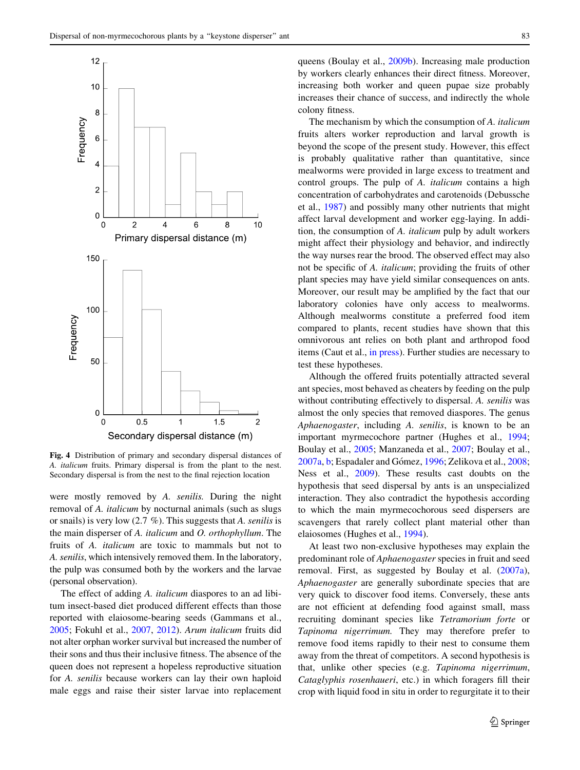<span id="page-8-0"></span>

Fig. 4 Distribution of primary and secondary dispersal distances of A. italicum fruits. Primary dispersal is from the plant to the nest. Secondary dispersal is from the nest to the final rejection location

were mostly removed by A. senilis. During the night removal of A. italicum by nocturnal animals (such as slugs or snails) is very low (2.7 %). This suggests that A. senilis is the main disperser of A. italicum and O. orthophyllum. The fruits of A. italicum are toxic to mammals but not to A. senilis, which intensively removed them. In the laboratory, the pulp was consumed both by the workers and the larvae (personal observation).

The effect of adding A. *italicum* diaspores to an ad libitum insect-based diet produced different effects than those reported with elaiosome-bearing seeds (Gammans et al., [2005;](#page-10-0) Fokuhl et al., [2007](#page-10-0), [2012\)](#page-10-0). Arum italicum fruits did not alter orphan worker survival but increased the number of their sons and thus their inclusive fitness. The absence of the queen does not represent a hopeless reproductive situation for A. senilis because workers can lay their own haploid male eggs and raise their sister larvae into replacement queens (Boulay et al., [2009b\)](#page-10-0). Increasing male production by workers clearly enhances their direct fitness. Moreover, increasing both worker and queen pupae size probably increases their chance of success, and indirectly the whole colony fitness.

The mechanism by which the consumption of A. italicum fruits alters worker reproduction and larval growth is beyond the scope of the present study. However, this effect is probably qualitative rather than quantitative, since mealworms were provided in large excess to treatment and control groups. The pulp of A. italicum contains a high concentration of carbohydrates and carotenoids (Debussche et al., [1987\)](#page-10-0) and possibly many other nutrients that might affect larval development and worker egg-laying. In addition, the consumption of A. italicum pulp by adult workers might affect their physiology and behavior, and indirectly the way nurses rear the brood. The observed effect may also not be specific of A. italicum; providing the fruits of other plant species may have yield similar consequences on ants. Moreover, our result may be amplified by the fact that our laboratory colonies have only access to mealworms. Although mealworms constitute a preferred food item compared to plants, recent studies have shown that this omnivorous ant relies on both plant and arthropod food items (Caut et al., [in press](#page-10-0)). Further studies are necessary to test these hypotheses.

Although the offered fruits potentially attracted several ant species, most behaved as cheaters by feeding on the pulp without contributing effectively to dispersal. A. senilis was almost the only species that removed diaspores. The genus Aphaenogaster, including A. senilis, is known to be an important myrmecochore partner (Hughes et al., [1994](#page-10-0); Boulay et al., [2005;](#page-10-0) Manzaneda et al., [2007;](#page-10-0) Boulay et al., [2007a,](#page-10-0) [b;](#page-10-0) Espadaler and Gómez, [1996;](#page-10-0) Zelikova et al., [2008](#page-11-0); Ness et al., [2009\)](#page-11-0). These results cast doubts on the hypothesis that seed dispersal by ants is an unspecialized interaction. They also contradict the hypothesis according to which the main myrmecochorous seed dispersers are scavengers that rarely collect plant material other than elaiosomes (Hughes et al., [1994](#page-10-0)).

At least two non-exclusive hypotheses may explain the predominant role of Aphaenogaster species in fruit and seed removal. First, as suggested by Boulay et al. [\(2007a](#page-10-0)), Aphaenogaster are generally subordinate species that are very quick to discover food items. Conversely, these ants are not efficient at defending food against small, mass recruiting dominant species like Tetramorium forte or Tapinoma nigerrimum. They may therefore prefer to remove food items rapidly to their nest to consume them away from the threat of competitors. A second hypothesis is that, unlike other species (e.g. Tapinoma nigerrimum, Cataglyphis rosenhaueri, etc.) in which foragers fill their crop with liquid food in situ in order to regurgitate it to their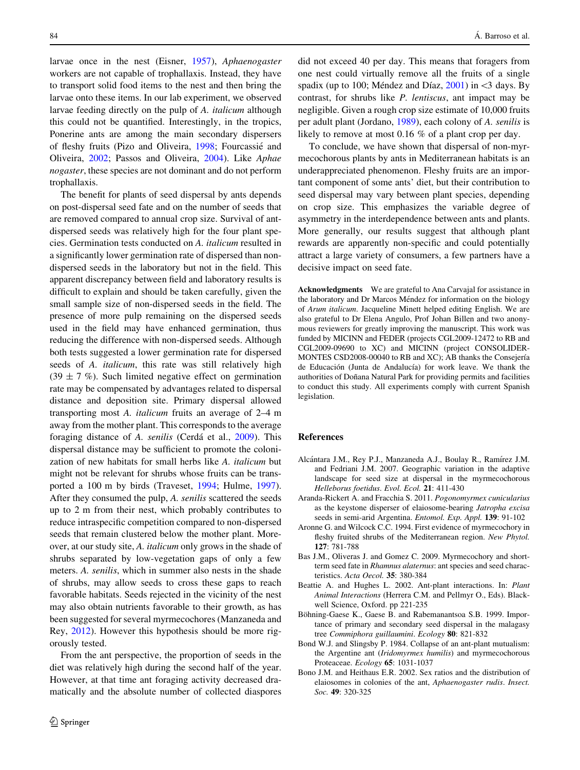<span id="page-9-0"></span>larvae once in the nest (Eisner, [1957\)](#page-10-0), Aphaenogaster workers are not capable of trophallaxis. Instead, they have to transport solid food items to the nest and then bring the larvae onto these items. In our lab experiment, we observed larvae feeding directly on the pulp of A. italicum although this could not be quantified. Interestingly, in the tropics, Ponerine ants are among the main secondary dispersers of fleshy fruits (Pizo and Oliveira, [1998;](#page-11-0) Fourcassie´ and Oliveira, [2002](#page-10-0); Passos and Oliveira, [2004\)](#page-11-0). Like Aphae nogaster, these species are not dominant and do not perform trophallaxis.

The benefit for plants of seed dispersal by ants depends on post-dispersal seed fate and on the number of seeds that are removed compared to annual crop size. Survival of antdispersed seeds was relatively high for the four plant species. Germination tests conducted on A. italicum resulted in a significantly lower germination rate of dispersed than nondispersed seeds in the laboratory but not in the field. This apparent discrepancy between field and laboratory results is difficult to explain and should be taken carefully, given the small sample size of non-dispersed seeds in the field. The presence of more pulp remaining on the dispersed seeds used in the field may have enhanced germination, thus reducing the difference with non-dispersed seeds. Although both tests suggested a lower germination rate for dispersed seeds of A. italicum, this rate was still relatively high  $(39 \pm 7 \%)$ . Such limited negative effect on germination rate may be compensated by advantages related to dispersal distance and deposition site. Primary dispersal allowed transporting most A. italicum fruits an average of 2–4 m away from the mother plant. This corresponds to the average foraging distance of A. senilis (Cerdá et al., [2009](#page-10-0)). This dispersal distance may be sufficient to promote the colonization of new habitats for small herbs like A. italicum but might not be relevant for shrubs whose fruits can be transported a 100 m by birds (Traveset, [1994](#page-11-0); Hulme, [1997](#page-10-0)). After they consumed the pulp, A. senilis scattered the seeds up to 2 m from their nest, which probably contributes to reduce intraspecific competition compared to non-dispersed seeds that remain clustered below the mother plant. Moreover, at our study site, A. italicum only grows in the shade of shrubs separated by low-vegetation gaps of only a few meters. A. senilis, which in summer also nests in the shade of shrubs, may allow seeds to cross these gaps to reach favorable habitats. Seeds rejected in the vicinity of the nest may also obtain nutrients favorable to their growth, as has been suggested for several myrmecochores (Manzaneda and Rey, [2012](#page-10-0)). However this hypothesis should be more rigorously tested.

From the ant perspective, the proportion of seeds in the diet was relatively high during the second half of the year. However, at that time ant foraging activity decreased dramatically and the absolute number of collected diaspores did not exceed 40 per day. This means that foragers from one nest could virtually remove all the fruits of a single spadix (up to 100; Méndez and Díaz, [2001\)](#page-11-0) in  $\lt$ 3 days. By contrast, for shrubs like P. lentiscus, ant impact may be negligible. Given a rough crop size estimate of 10,000 fruits per adult plant (Jordano, [1989](#page-10-0)), each colony of A. senilis is likely to remove at most 0.16 % of a plant crop per day.

To conclude, we have shown that dispersal of non-myrmecochorous plants by ants in Mediterranean habitats is an underappreciated phenomenon. Fleshy fruits are an important component of some ants' diet, but their contribution to seed dispersal may vary between plant species, depending on crop size. This emphasizes the variable degree of asymmetry in the interdependence between ants and plants. More generally, our results suggest that although plant rewards are apparently non-specific and could potentially attract a large variety of consumers, a few partners have a decisive impact on seed fate.

Acknowledgments We are grateful to Ana Carvajal for assistance in the laboratory and Dr Marcos Méndez for information on the biology of Arum italicum. Jacqueline Minett helped editing English. We are also grateful to Dr Elena Angulo, Prof Johan Billen and two anonymous reviewers for greatly improving the manuscript. This work was funded by MICINN and FEDER (projects CGL2009-12472 to RB and CGL2009-09690 to XC) and MICINN (project CONSOLIDER-MONTES CSD2008-00040 to RB and XC); AB thanks the Consejería de Educación (Junta de Andalucía) for work leave. We thank the authorities of Doñana Natural Park for providing permits and facilities to conduct this study. All experiments comply with current Spanish legislation.

# References

- Alcántara J.M., Rey P.J., Manzaneda A.J., Boulay R., Ramírez J.M. and Fedriani J.M. 2007. Geographic variation in the adaptive landscape for seed size at dispersal in the myrmecochorous Helleborus foetidus. Evol. Ecol. 21: 411-430
- Aranda-Rickert A. and Fracchia S. 2011. Pogonomyrmex cunicularius as the keystone disperser of elaiosome-bearing Jatropha excisa seeds in semi-arid Argentina. Entomol. Exp. Appl. 139: 91-102
- Aronne G. and Wilcock C.C. 1994. First evidence of myrmecochory in fleshy fruited shrubs of the Mediterranean region. New Phytol. 127: 781-788
- Bas J.M., Oliveras J. and Gomez C. 2009. Myrmecochory and shortterm seed fate in Rhamnus alaternus: ant species and seed characteristics. Acta Oecol. 35: 380-384
- Beattie A. and Hughes L. 2002. Ant-plant interactions. In: Plant Animal Interactions (Herrera C.M. and Pellmyr O., Eds). Blackwell Science, Oxford. pp 221-235
- Böhning-Gaese K., Gaese B. and Rabemanantsoa S.B. 1999. Importance of primary and secondary seed dispersal in the malagasy tree Commiphora guillaumini. Ecology 80: 821-832
- Bond W.J. and Slingsby P. 1984. Collapse of an ant-plant mutualism: the Argentine ant (Iridomyrmex humilis) and myrmecochorous Proteaceae. Ecology 65: 1031-1037
- Bono J.M. and Heithaus E.R. 2002. Sex ratios and the distribution of elaiosomes in colonies of the ant, Aphaenogaster rudis. Insect. Soc. 49: 320-325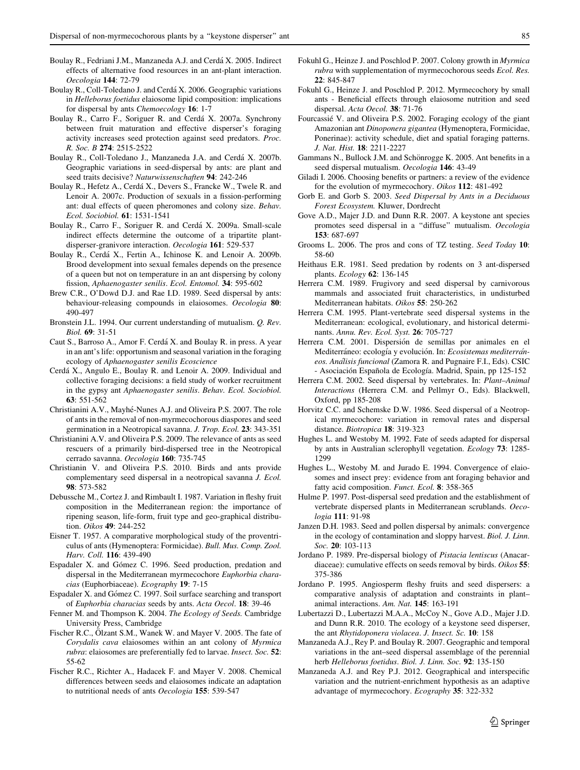- <span id="page-10-0"></span>Boulay R., Fedriani J.M., Manzaneda A.J. and Cerdá X. 2005. Indirect effects of alternative food resources in an ant-plant interaction. Oecologia 144: 72-79
- Boulay R., Coll-Toledano J. and Cerdá X. 2006. Geographic variations in Helleborus foetidus elaiosome lipid composition: implications for dispersal by ants Chemoecology 16: 1-7
- Boulay R., Carro F., Soriguer R. and Cerdá X. 2007a. Synchrony between fruit maturation and effective disperser's foraging activity increases seed protection against seed predators. Proc. R. Soc. B 274: 2515-2522
- Boulay R., Coll-Toledano J., Manzaneda J.A. and Cerdá X. 2007b. Geographic variations in seed-dispersal by ants: are plant and seed traits decisive? Naturwissenschaften 94: 242-246
- Boulay R., Hefetz A., Cerdá X., Devers S., Francke W., Twele R. and Lenoir A. 2007c. Production of sexuals in a fission-performing ant: dual effects of queen pheromones and colony size. Behav. Ecol. Sociobiol. 61: 1531-1541
- Boulay R., Carro F., Soriguer R. and Cerdá X. 2009a. Small-scale indirect effects determine the outcome of a tripartite plantdisperser-granivore interaction. Oecologia 161: 529-537
- Boulay R., Cerdá X., Fertin A., Ichinose K. and Lenoir A. 2009b. Brood development into sexual females depends on the presence of a queen but not on temperature in an ant dispersing by colony fission, Aphaenogaster senilis. Ecol. Entomol. 34: 595-602
- Brew C.R., O'Dowd D.J. and Rae I.D. 1989. Seed dispersal by ants: behaviour-releasing compounds in elaiosomes. Oecologia 80: 490-497
- Bronstein J.L. 1994. Our current understanding of mutualism. Q. Rev. Biol. 69: 31-51
- Caut S., Barroso A., Amor F. Cerda´ X. and Boulay R. in press. A year in an ant's life: opportunism and seasonal variation in the foraging ecology of Aphaenogaster senilis Ecoscience
- Cerda´ X., Angulo E., Boulay R. and Lenoir A. 2009. Individual and collective foraging decisions: a field study of worker recruitment in the gypsy ant Aphaenogaster senilis. Behav. Ecol. Sociobiol. 63: 551-562
- Christianini A.V., Mayhé-Nunes A.J. and Oliveira P.S. 2007. The role of ants in the removal of non-myrmecochorous diaspores and seed germination in a Neotropical savanna. J. Trop. Ecol. 23: 343-351
- Christianini A.V. and Oliveira P.S. 2009. The relevance of ants as seed rescuers of a primarily bird-dispersed tree in the Neotropical cerrado savanna. Oecologia 160: 735-745
- Christianin V. and Oliveira P.S. 2010. Birds and ants provide complementary seed dispersal in a neotropical savanna J. Ecol. 98: 573-582
- Debussche M., Cortez J. and Rimbault I. 1987. Variation in fleshy fruit composition in the Mediterranean region: the importance of ripening season, life-form, fruit type and geo-graphical distribution. Oikos 49: 244-252
- Eisner T. 1957. A comparative morphological study of the proventriculus of ants (Hymenoptera: Formicidae). Bull. Mus. Comp. Zool. Harv. Coll. 116: 439-490
- Espadaler X. and Gómez C. 1996. Seed production, predation and dispersal in the Mediterranean myrmecochore Euphorbia characias (Euphorbiaceae). Ecography 19: 7-15
- Espadaler X. and Gómez C. 1997. Soil surface searching and transport of Euphorbia characias seeds by ants. Acta Oecol. 18: 39-46
- Fenner M. and Thompson K. 2004. The Ecology of Seeds. Cambridge University Press, Cambridge
- Fischer R.C., Ölzant S.M., Wanek W. and Mayer V. 2005. The fate of Corydalis cava elaiosomes within an ant colony of Myrmica rubra: elaiosomes are preferentially fed to larvae. Insect. Soc. 52: 55-62
- Fischer R.C., Richter A., Hadacek F. and Mayer V. 2008. Chemical differences between seeds and elaiosomes indicate an adaptation to nutritional needs of ants Oecologia 155: 539-547
- Fokuhl G., Heinze J. and Poschlod P. 2007. Colony growth in Myrmica rubra with supplementation of myrmecochorous seeds Ecol. Res. 22: 845-847
- Fokuhl G., Heinze J. and Poschlod P. 2012. Myrmecochory by small ants - Beneficial effects through elaiosome nutrition and seed dispersal. Acta Oecol. 38: 71-76
- Fourcassie<sup>T</sup> V. and Oliveira P.S. 2002. Foraging ecology of the giant Amazonian ant Dinoponera gigantea (Hymenoptera, Formicidae, Ponerinae): activity schedule, diet and spatial foraging patterns. J. Nat. Hist. 18: 2211-2227
- Gammans N., Bullock J.M. and Schönrogge K. 2005. Ant benefits in a seed dispersal mutualism. Oecologia 146: 43-49
- Giladi I. 2006. Choosing benefits or partners: a review of the evidence for the evolution of myrmecochory. Oikos 112: 481-492
- Gorb E. and Gorb S. 2003. Seed Dispersal by Ants in a Deciduous Forest Ecosystem. Kluwer, Dordrecht
- Gove A.D., Majer J.D. and Dunn R.R. 2007. A keystone ant species promotes seed dispersal in a ''diffuse'' mutualism. Oecologia 153: 687-697
- Grooms L. 2006. The pros and cons of TZ testing. Seed Today 10: 58-60
- Heithaus E.R. 1981. Seed predation by rodents on 3 ant-dispersed plants. Ecology 62: 136-145
- Herrera C.M. 1989. Frugivory and seed dispersal by carnivorous mammals and associated fruit characteristics, in undisturbed Mediterranean habitats. Oikos 55: 250-262
- Herrera C.M. 1995. Plant-vertebrate seed dispersal systems in the Mediterranean: ecological, evolutionary, and historical determinants. Annu. Rev. Ecol. Syst. 26: 705-727
- Herrera C.M. 2001. Dispersión de semillas por animales en el Mediterráneo: ecología y evolución. In: Ecosistemas mediterráneos. Anaîlisis funcional (Zamora R. and Pugnaire F.I., Eds). CSIC - Asociación Española de Ecología. Madrid, Spain, pp 125-152
- Herrera C.M. 2002. Seed dispersal by vertebrates. In: Plant–Animal Interactions (Herrera C.M. and Pellmyr O., Eds). Blackwell, Oxford, pp 185-208
- Horvitz C.C. and Schemske D.W. 1986. Seed dispersal of a Neotropical myrmecochore: variation in removal rates and dispersal distance. Biotropica 18: 319-323
- Hughes L. and Westoby M. 1992. Fate of seeds adapted for dispersal by ants in Australian sclerophyll vegetation. Ecology 73: 1285- 1299
- Hughes L., Westoby M. and Jurado E. 1994. Convergence of elaiosomes and insect prey: evidence from ant foraging behavior and fatty acid composition. Funct. Ecol. 8: 358-365
- Hulme P. 1997. Post-dispersal seed predation and the establishment of vertebrate dispersed plants in Mediterranean scrublands. Oecologia 111: 91-98
- Janzen D.H. 1983. Seed and pollen dispersal by animals: convergence in the ecology of contamination and sloppy harvest. Biol. J. Linn. Soc. 20: 103-113
- Jordano P. 1989. Pre-dispersal biology of Pistacia lentiscus (Anacardiaceae): cumulative effects on seeds removal by birds. Oikos 55: 375-386
- Jordano P. 1995. Angiosperm fleshy fruits and seed dispersers: a comparative analysis of adaptation and constraints in plant– animal interactions. Am. Nat. 145: 163-191
- Lubertazzi D., Lubertazzi M.A.A., McCoy N., Gove A.D., Majer J.D. and Dunn R.R. 2010. The ecology of a keystone seed disperser, the ant Rhytidoponera violacea. J. Insect. Sc. 10: 158
- Manzaneda A.J., Rey P. and Boulay R. 2007. Geographic and temporal variations in the ant–seed dispersal assemblage of the perennial herb Helleborus foetidus. Biol. J. Linn. Soc. 92: 135-150
- Manzaneda A.J. and Rey P.J. 2012. Geographical and interspecific variation and the nutrient-enrichment hypothesis as an adaptive advantage of myrmecochory. Ecography 35: 322-332